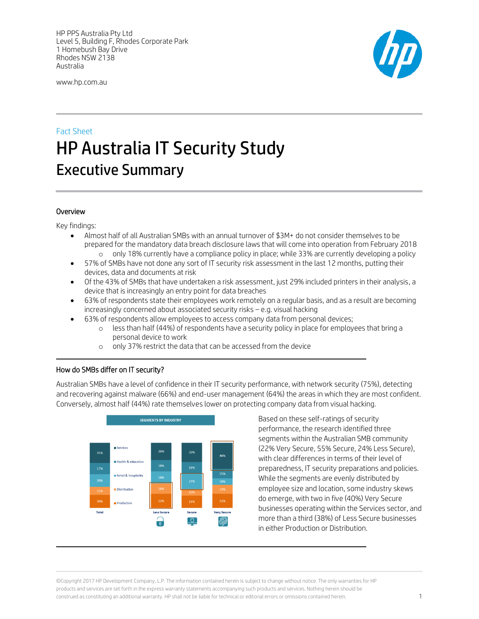HP PPS Australia Pty Ltd Level 5, Building F, Rhodes Corporate Park 1 Homebush Bay Drive Rhodes NSW 2138 Australia

www.hp.com.au



# Fact Sheet HP Australia IT Security Study Executive Summary

# Overview

 $\overline{a}$ 

Key findings:

- Almost half of all Australian SMBs with an annual turnover of \$3M+ do not consider themselves to be prepared for the mandatory data breach disclosure laws that will come into operation from February 2018 o only 18% currently have a compliance policy in place; while 33% are currently developing a policy
- 57% of SMBs have not done any sort of IT security risk assessment in the last 12 months, putting their devices, data and documents at risk
- Of the 43% of SMBs that have undertaken a risk assessment, just 29% included printers in their analysis, a device that is increasingly an entry point for data breaches
- 63% of respondents state their employees work remotely on a regular basis, and as a result are becoming increasingly concerned about associated security risks – e.g. visual hacking
- 63% of respondents allow employees to access company data from personal devices;
	- o less than half (44%) of respondents have a security policy in place for employees that bring a personal device to work
	- o only 37% restrict the data that can be accessed from the device

# How do SMBs differ on IT security?

 $\overline{a}$ 

Australian SMBs have a level of confidence in their IT security performance, with network security (75%), detecting and recovering against malware (66%) and end-user management (64%) the areas in which they are most confident. Conversely, almost half (44%) rate themselves lower on protecting company data from visual hacking.



Based on these self-ratings of security performance, the research identified three segments within the Australian SMB community (22% Very Secure, 55% Secure, 24% Less Secure), with clear differences in terms of their level of preparedness, IT security preparations and policies. While the segments are evenly distributed by employee size and location, some industry skews do emerge, with two in five (40%) Very Secure businesses operating within the Services sector, and more than a third (38%) of Less Secure businesses in either Production or Distribution.

©Copyright 2017 HP Development Company, L.P. The information contained herein is subject to change without notice. The only warranties for HP products and services are set forth in the express warranty statements accompanying such products and services. Nothing herein should be construed as constituting an additional warranty. HP shall not be liable for technical or editorial errors or omissions contained herein. 1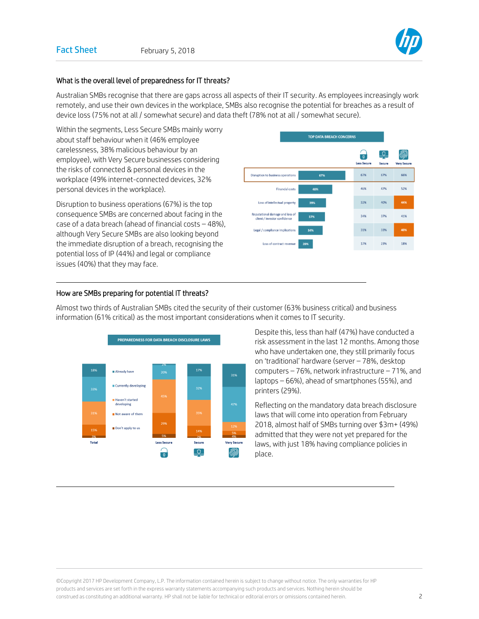

# What is the overall level of preparedness for IT threats?

Australian SMBs recognise that there are gaps across all aspects of their IT security. As employees increasingly work remotely, and use their own devices in the workplace, SMBs also recognise the potential for breaches as a result of device loss (75% not at all / somewhat secure) and data theft (78% not at all / somewhat secure).

Within the segments, Less Secure SMBs mainly worry about staff behaviour when it (46% employee carelessness, 38% malicious behaviour by an employee), with Very Secure businesses considering the risks of connected & personal devices in the workplace (49% internet-connected devices, 32% personal devices in the workplace).

Disruption to business operations (67%) is the top consequence SMBs are concerned about facing in the case of a data breach (ahead of financial costs – 48%), although Very Secure SMBs are also looking beyond the immediate disruption of a breach, recognising the potential loss of IP (44%) and legal or compliance issues (40%) that they may face.



#### How are SMBs preparing for potential IT threats?

 $\overline{a}$ 

 $\overline{a}$ 



Almost two thirds of Australian SMBs cited the security of their customer (63% business critical) and business information (61% critical) as the most important considerations when it comes to IT security.

> Despite this, less than half (47%) have conducted a risk assessment in the last 12 months. Among those who have undertaken one, they still primarily focus on 'traditional' hardware (server – 78%, desktop computers – 76%, network infrastructure – 71%, and laptops – 66%), ahead of smartphones (55%), and printers (29%).

Reflecting on the mandatory data breach disclosure laws that will come into operation from February 2018, almost half of SMBs turning over \$3m+ (49%) admitted that they were not yet prepared for the laws, with just 18% having compliance policies in place.